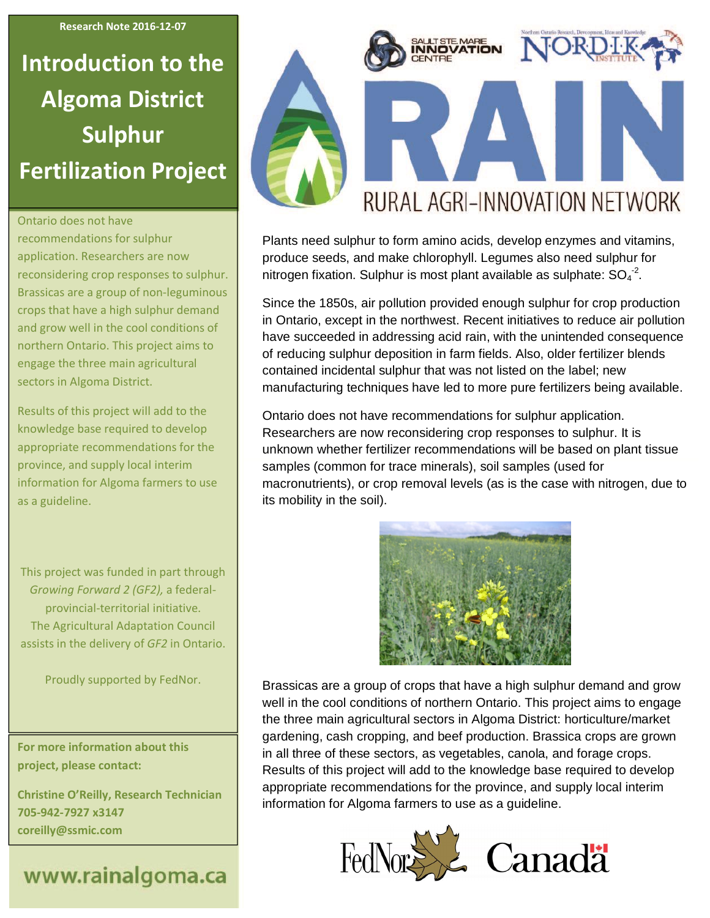**Research Note 2016-12-07**

# **Introduction to the Algoma District Sulphur Fertilization Project**

#### Ontario does not have

recommendations for sulphur application. Researchers are now reconsidering crop responses to sulphur. Brassicas are a group of non-leguminous crops that have a high sulphur demand and grow well in the cool conditions of northern Ontario. This project aims to engage the three main agricultural sectors in Algoma District.

Results of this project will add to the knowledge base required to develop appropriate recommendations for the province, and supply local interim information for Algoma farmers to use as a guideline.

This project was funded in part through *Growing Forward 2 (GF2),* a federalprovincial-territorial initiative. The Agricultural Adaptation Council assists in the delivery of *GF2* in Ontario.

Proudly supported by FedNor.

**For more information about this project, please contact:**

**Christine O'Reilly, Research Technician 705-942-7927 x3147 coreilly@ssmic.com**

## www.rainalgoma.ca



Plants need sulphur to form amino acids, develop enzymes and vitamins, produce seeds, and make chlorophyll. Legumes also need sulphur for nitrogen fixation. Sulphur is most plant available as sulphate:  $SO_4^{\{-2\}}$ .

Since the 1850s, air pollution provided enough sulphur for crop production in Ontario, except in the northwest. Recent initiatives to reduce air pollution have succeeded in addressing acid rain, with the unintended consequence of reducing sulphur deposition in farm fields. Also, older fertilizer blends contained incidental sulphur that was not listed on the label; new manufacturing techniques have led to more pure fertilizers being available.

Ontario does not have recommendations for sulphur application. Researchers are now reconsidering crop responses to sulphur. It is unknown whether fertilizer recommendations will be based on plant tissue samples (common for trace minerals), soil samples (used for macronutrients), or crop removal levels (as is the case with nitrogen, due to its mobility in the soil).



Brassicas are a group of crops that have a high sulphur demand and grow well in the cool conditions of northern Ontario. This project aims to engage the three main agricultural sectors in Algoma District: horticulture/market gardening, cash cropping, and beef production. Brassica crops are grown in all three of these sectors, as vegetables, canola, and forage crops. Results of this project will add to the knowledge base required to develop appropriate recommendations for the province, and supply local interim information for Algoma farmers to use as a guideline.